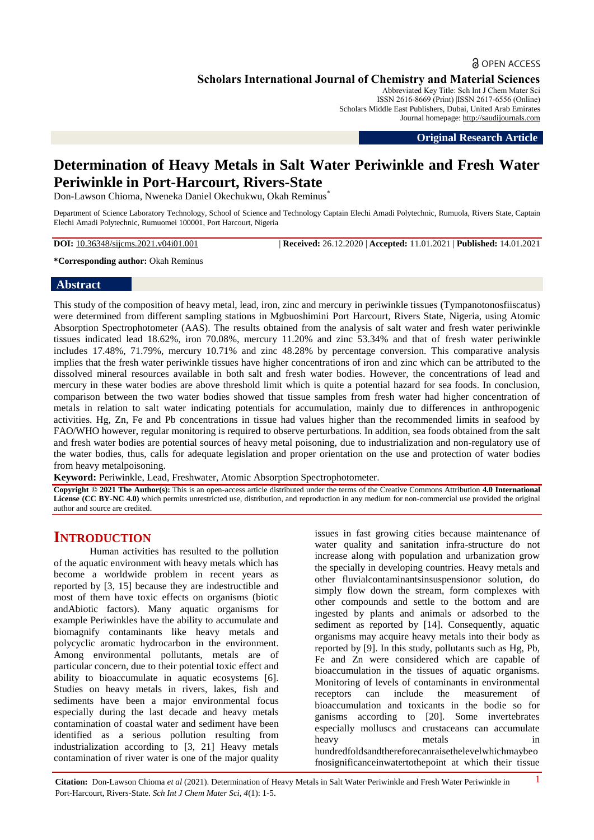# **a** OPEN ACCESS

**Scholars International Journal of Chemistry and Material Sciences**

Abbreviated Key Title: Sch Int J Chem Mater Sci ISSN 2616-8669 (Print) |ISSN 2617-6556 (Online) Scholars Middle East Publishers, Dubai, United Arab Emirates Journal homepage: [http://saudijournals.com](http://saudijournals.com/sijcms/)

**Original Research Article**

# **Determination of Heavy Metals in Salt Water Periwinkle and Fresh Water Periwinkle in Port-Harcourt, Rivers-State**

Don-Lawson Chioma, Nweneka Daniel Okechukwu, Okah Reminus\*

Department of Science Laboratory Technology, School of Science and Technology Captain Elechi Amadi Polytechnic, Rumuola, Rivers State, Captain Elechi Amadi Polytechnic, Rumuomei 100001, Port Harcourt, Nigeria

**DOI:** 10.36348/sijcms.2021.v04i01.001 | **Received:** 26.12.2020 | **Accepted:** 11.01.2021 | **Published:** 14.01.2021

**\*Corresponding author:** Okah Reminus

#### **Abstract**

This study of the composition of heavy metal, lead, iron, zinc and mercury in periwinkle tissues (Tympanotonosfiiscatus) were determined from different sampling stations in Mgbuoshimini Port Harcourt, Rivers State, Nigeria, using Atomic Absorption Spectrophotometer (AAS). The results obtained from the analysis of salt water and fresh water periwinkle tissues indicated lead 18.62%, iron 70.08%, mercury 11.20% and zinc 53.34% and that of fresh water periwinkle includes 17.48%, 71.79%, mercury 10.71% and zinc 48.28% by percentage conversion. This comparative analysis implies that the fresh water periwinkle tissues have higher concentrations of iron and zinc which can be attributed to the dissolved mineral resources available in both salt and fresh water bodies. However, the concentrations of lead and mercury in these water bodies are above threshold limit which is quite a potential hazard for sea foods. In conclusion, comparison between the two water bodies showed that tissue samples from fresh water had higher concentration of metals in relation to salt water indicating potentials for accumulation, mainly due to differences in anthropogenic activities. Hg, Zn, Fe and Pb concentrations in tissue had values higher than the recommended limits in seafood by FAO/WHO however, regular monitoring is required to observe perturbations. In addition, sea foods obtained from the salt and fresh water bodies are potential sources of heavy metal poisoning, due to industrialization and non-regulatory use of the water bodies, thus, calls for adequate legislation and proper orientation on the use and protection of water bodies from heavy metalpoisoning.

**Keyword:** Periwinkle, Lead, Freshwater, Atomic Absorption Spectrophotometer.

**Copyright © 2021 The Author(s):** This is an open-access article distributed under the terms of the Creative Commons Attribution **4.0 International License (CC BY-NC 4.0)** which permits unrestricted use, distribution, and reproduction in any medium for non-commercial use provided the original author and source are credited.

# **INTRODUCTION**

Human activities has resulted to the pollution of the aquatic environment with heavy metals which has become a worldwide problem in recent years as reported by [3, 15] because they are indestructible and most of them have toxic effects on organisms (biotic andAbiotic factors). Many aquatic organisms for example Periwinkles have the ability to accumulate and biomagnify contaminants like heavy metals and polycyclic aromatic hydrocarbon in the environment. Among environmental pollutants, metals are of particular concern, due to their potential toxic effect and ability to bioaccumulate in aquatic ecosystems [6]. Studies on heavy metals in rivers, lakes, fish and sediments have been a major environmental focus especially during the last decade and heavy metals contamination of coastal water and sediment have been identified as a serious pollution resulting from industrialization according to [3, 21] Heavy metals contamination of river water is one of the major quality

issues in fast growing cities because maintenance of water quality and sanitation infra-structure do not increase along with population and urbanization grow the specially in developing countries. Heavy metals and other fluvialcontaminantsinsuspensionor solution, do simply flow down the stream, form complexes with other compounds and settle to the bottom and are ingested by plants and animals or adsorbed to the sediment as reported by [14]. Consequently, aquatic organisms may acquire heavy metals into their body as reported by [9]. In this study, pollutants such as Hg, Pb, Fe and Zn were considered which are capable of bioaccumulation in the tissues of aquatic organisms. Monitoring of levels of contaminants in environmental receptors can include the measurement of bioaccumulation and toxicants in the bodie so for ganisms according to [20]. Some invertebrates especially molluscs and crustaceans can accumulate heavy metals in hundredfoldsandthereforecanraisethelevelwhichmaybeo fnosignificanceinwatertothepoint at which their tissue

**Citation:** Don-Lawson Chioma *et al* (2021). Determination of Heavy Metals in Salt Water Periwinkle and Fresh Water Periwinkle in 1 Port-Harcourt, Rivers-State. *Sch Int J Chem Mater Sci, 4*(1): 1-5.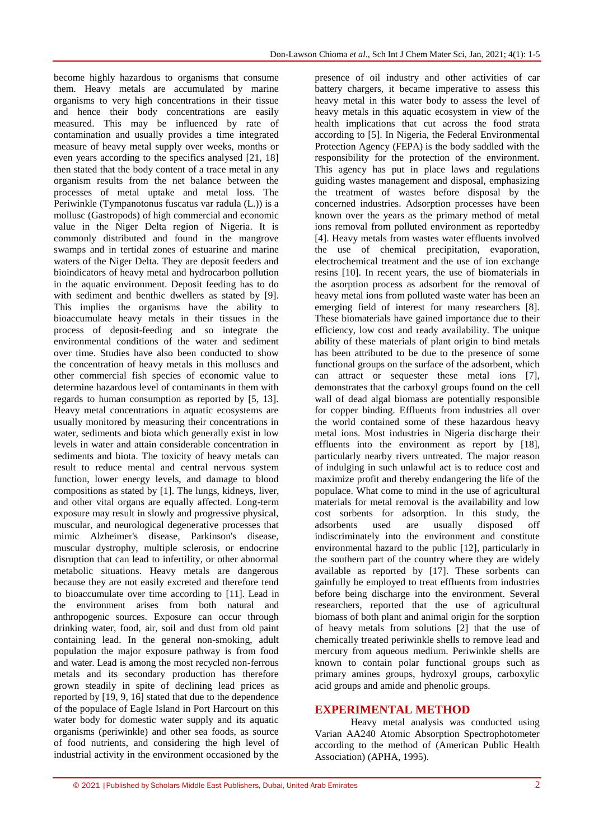become highly hazardous to organisms that consume them. Heavy metals are accumulated by marine organisms to very high concentrations in their tissue and hence their body concentrations are easily measured. This may be influenced by rate of contamination and usually provides a time integrated measure of heavy metal supply over weeks, months or even years according to the specifics analysed [21, 18] then stated that the body content of a trace metal in any organism results from the net balance between the processes of metal uptake and metal loss. The Periwinkle (Tympanotonus fuscatus var radula (L.)) is a mollusc (Gastropods) of high commercial and economic value in the Niger Delta region of Nigeria. It is commonly distributed and found in the mangrove swamps and in tertidal zones of estuarine and marine waters of the Niger Delta. They are deposit feeders and bioindicators of heavy metal and hydrocarbon pollution in the aquatic environment. Deposit feeding has to do with sediment and benthic dwellers as stated by [9]. This implies the organisms have the ability to bioaccumulate heavy metals in their tissues in the process of deposit-feeding and so integrate the environmental conditions of the water and sediment over time. Studies have also been conducted to show the concentration of heavy metals in this molluscs and other commercial fish species of economic value to determine hazardous level of contaminants in them with regards to human consumption as reported by [5, 13]. Heavy metal concentrations in aquatic ecosystems are usually monitored by measuring their concentrations in water, sediments and biota which generally exist in low levels in water and attain considerable concentration in sediments and biota. The toxicity of heavy metals can result to reduce mental and central nervous system function, lower energy levels, and damage to blood compositions as stated by [1]. The lungs, kidneys, liver, and other vital organs are equally affected. Long-term exposure may result in slowly and progressive physical, muscular, and neurological degenerative processes that mimic Alzheimer's disease, Parkinson's disease, muscular dystrophy, multiple sclerosis, or endocrine disruption that can lead to infertility, or other abnormal metabolic situations. Heavy metals are dangerous because they are not easily excreted and therefore tend to bioaccumulate over time according to [11]. Lead in the environment arises from both natural and anthropogenic sources. Exposure can occur through drinking water, food, air, soil and dust from old paint containing lead. In the general non-smoking, adult population the major exposure pathway is from food and water. Lead is among the most recycled non-ferrous metals and its secondary production has therefore grown steadily in spite of declining lead prices as reported by [19, 9, 16] stated that due to the dependence of the populace of Eagle Island in Port Harcourt on this water body for domestic water supply and its aquatic organisms (periwinkle) and other sea foods, as source of food nutrients, and considering the high level of industrial activity in the environment occasioned by the

presence of oil industry and other activities of car battery chargers, it became imperative to assess this heavy metal in this water body to assess the level of heavy metals in this aquatic ecosystem in view of the health implications that cut across the food strata according to [5]. In Nigeria, the Federal Environmental Protection Agency (FEPA) is the body saddled with the responsibility for the protection of the environment. This agency has put in place laws and regulations guiding wastes management and disposal, emphasizing the treatment of wastes before disposal by the concerned industries. Adsorption processes have been known over the years as the primary method of metal ions removal from polluted environment as reportedby [4]. Heavy metals from wastes water effluents involved the use of chemical precipitation, evaporation, electrochemical treatment and the use of ion exchange resins [10]. In recent years, the use of biomaterials in the asorption process as adsorbent for the removal of heavy metal ions from polluted waste water has been an emerging field of interest for many researchers [8]. These biomaterials have gained importance due to their efficiency, low cost and ready availability. The unique ability of these materials of plant origin to bind metals has been attributed to be due to the presence of some functional groups on the surface of the adsorbent, which can attract or sequester these metal ions [7], demonstrates that the carboxyl groups found on the cell wall of dead algal biomass are potentially responsible for copper binding. Effluents from industries all over the world contained some of these hazardous heavy metal ions. Most industries in Nigeria discharge their effluents into the environment as report by [18], particularly nearby rivers untreated. The major reason of indulging in such unlawful act is to reduce cost and maximize profit and thereby endangering the life of the populace. What come to mind in the use of agricultural materials for metal removal is the availability and low cost sorbents for adsorption. In this study, the adsorbents used are usually disposed off indiscriminately into the environment and constitute environmental hazard to the public [12], particularly in the southern part of the country where they are widely available as reported by [17]. These sorbents can gainfully be employed to treat effluents from industries before being discharge into the environment. Several researchers, reported that the use of agricultural biomass of both plant and animal origin for the sorption of heavy metals from solutions [2] that the use of chemically treated periwinkle shells to remove lead and mercury from aqueous medium. Periwinkle shells are known to contain polar functional groups such as primary amines groups, hydroxyl groups, carboxylic acid groups and amide and phenolic groups.

#### **EXPERIMENTAL METHOD**

Heavy metal analysis was conducted using Varian AA240 Atomic Absorption Spectrophotometer according to the method of (American Public Health Association) (APHA, 1995).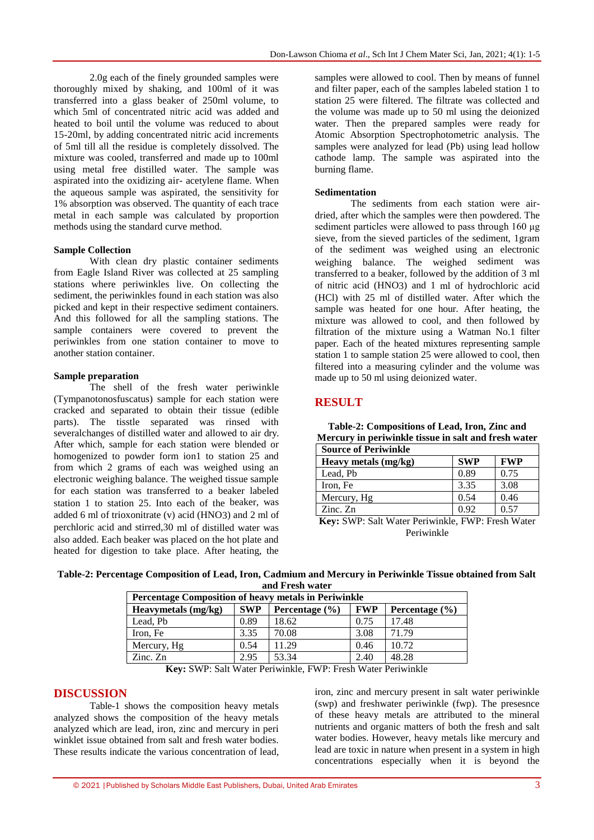2.0g each of the finely grounded samples were thoroughly mixed by shaking, and 100ml of it was transferred into a glass beaker of 250ml volume, to which 5ml of concentrated nitric acid was added and heated to boil until the volume was reduced to about 15-20ml, by adding concentrated nitric acid increments of 5ml till all the residue is completely dissolved. The mixture was cooled, transferred and made up to 100ml using metal free distilled water. The sample was aspirated into the oxidizing air- acetylene flame. When the aqueous sample was aspirated, the sensitivity for 1% absorption was observed. The quantity of each trace metal in each sample was calculated by proportion methods using the standard curve method.

#### **Sample Collection**

With clean dry plastic container sediments from Eagle Island River was collected at 25 sampling stations where periwinkles live. On collecting the sediment, the periwinkles found in each station was also picked and kept in their respective sediment containers. And this followed for all the sampling stations. The sample containers were covered to prevent the periwinkles from one station container to move to another station container.

#### **Sample preparation**

The shell of the fresh water periwinkle (Tympanotonosfuscatus) sample for each station were cracked and separated to obtain their tissue (edible parts). The tisstle separated was rinsed with severalchanges of distilled water and allowed to air dry. After which, sample for each station were blended or homogenized to powder form ion1 to station 25 and from which 2 grams of each was weighed using an electronic weighing balance. The weighed tissue sample for each station was transferred to a beaker labeled station 1 to station 25. Into each of the beaker, was added 6 ml of trioxonitrate (v) acid (HNO3) and 2 ml of perchloric acid and stirred,30 ml of distilled water was also added. Each beaker was placed on the hot plate and heated for digestion to take place. After heating, the

samples were allowed to cool. Then by means of funnel and filter paper, each of the samples labeled station 1 to station 25 were filtered. The filtrate was collected and the volume was made up to 50 ml using the deionized water. Then the prepared samples were ready for Atomic Absorption Spectrophotometric analysis. The samples were analyzed for lead (Pb) using lead hollow cathode lamp. The sample was aspirated into the burning flame.

#### **Sedimentation**

The sediments from each station were airdried, after which the samples were then powdered. The sediment particles were allowed to pass through 160 μg sieve, from the sieved particles of the sediment, 1gram of the sediment was weighed using an electronic weighing balance. The weighed sediment was transferred to a beaker, followed by the addition of 3 ml of nitric acid (HNO3) and 1 ml of hydrochloric acid (HCl) with 25 ml of distilled water. After which the sample was heated for one hour. After heating, the mixture was allowed to cool, and then followed by filtration of the mixture using a Watman No.1 filter paper. Each of the heated mixtures representing sample station 1 to sample station 25 were allowed to cool, then filtered into a measuring cylinder and the volume was made up to 50 ml using deionized water.

#### **RESULT**

| <b>Nectury in periwinkie ussue in sait and fresh water</b> |            |            |  |  |
|------------------------------------------------------------|------------|------------|--|--|
| <b>Source of Periwinkle</b>                                |            |            |  |  |
| Heavy metals (mg/kg)                                       | <b>SWP</b> | <b>FWP</b> |  |  |
| Lead, Pb                                                   | 0.89       | 0.75       |  |  |
| Iron, Fe                                                   | 3.35       | 3.08       |  |  |
| Mercury, Hg                                                | 0.54       | 0.46       |  |  |
| $\rm Zinc. \rm Zn$                                         | 0.92       | 0.57       |  |  |

**Table-2: Compositions of Lead, Iron, Zinc and Mercury in periwinkle tissue in salt and fresh water**

**Key:** SWP: Salt Water Periwinkle, FWP: Fresh Water Periwinkle

| Table-2: Percentage Composition of Lead, Iron, Cadmium and Mercury in Periwinkle Tissue obtained from Salt |  |
|------------------------------------------------------------------------------------------------------------|--|
| and Fresh water                                                                                            |  |

| Percentage Composition of heavy metals in Periwinkle      |            |                    |            |                    |  |
|-----------------------------------------------------------|------------|--------------------|------------|--------------------|--|
| Heavymetals (mg/kg)                                       | <b>SWP</b> | Percentage $(\% )$ | <b>FWP</b> | Percentage $(\% )$ |  |
| Lead, Pb                                                  | 0.89       | 18.62              | 0.75       | 17.48              |  |
| Iron, Fe                                                  | 3.35       | 70.08              | 3.08       | 71.79              |  |
| Mercury, Hg                                               | 0.54       | 11.29              | 0.46       | 10.72              |  |
| $\mathop{\rm Zinc}\nolimits$ . $\mathop{\rm Zn}\nolimits$ | 2.95       | 53.34              | 2.40       | 48.28              |  |
|                                                           |            |                    |            |                    |  |

**Key:** SWP: Salt Water Periwinkle, FWP: Fresh Water Periwinkle

#### **DISCUSSION**

Table-1 shows the composition heavy metals analyzed shows the composition of the heavy metals analyzed which are lead, iron, zinc and mercury in peri winklet issue obtained from salt and fresh water bodies. These results indicate the various concentration of lead, iron, zinc and mercury present in salt water periwinkle (swp) and freshwater periwinkle (fwp). The presesnce of these heavy metals are attributed to the mineral nutrients and organic matters of both the fresh and salt water bodies. However, heavy metals like mercury and lead are toxic in nature when present in a system in high concentrations especially when it is beyond the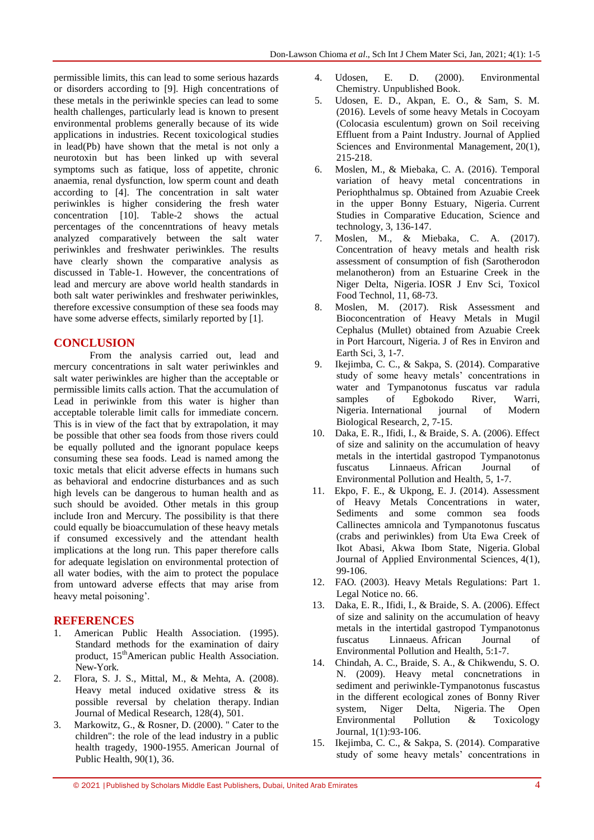permissible limits, this can lead to some serious hazards or disorders according to [9]. High concentrations of these metals in the periwinkle species can lead to some health challenges, particularly lead is known to present environmental problems generally because of its wide applications in industries. Recent toxicological studies in lead(Pb) have shown that the metal is not only a neurotoxin but has been linked up with several symptoms such as fatique, loss of appetite, chronic anaemia, renal dysfunction, low sperm count and death according to [4]. The concentration in salt water periwinkles is higher considering the fresh water concentration [10]. Table-2 shows the actual percentages of the concenntrations of heavy metals analyzed comparatively between the salt water periwinkles and freshwater periwinkles. The results have clearly shown the comparative analysis as discussed in Table-1. However, the concentrations of lead and mercury are above world health standards in both salt water periwinkles and freshwater periwinkles, therefore excessive consumption of these sea foods may have some adverse effects, similarly reported by [1].

## **CONCLUSION**

From the analysis carried out, lead and mercury concentrations in salt water periwinkles and salt water periwinkles are higher than the acceptable or permissible limits calls action. That the accumulation of Lead in periwinkle from this water is higher than acceptable tolerable limit calls for immediate concern. This is in view of the fact that by extrapolation, it may be possible that other sea foods from those rivers could be equally polluted and the ignorant populace keeps consuming these sea foods. Lead is named among the toxic metals that elicit adverse effects in humans such as behavioral and endocrine disturbances and as such high levels can be dangerous to human health and as such should be avoided. Other metals in this group include Iron and Mercury. The possibility is that there could equally be bioaccumulation of these heavy metals if consumed excessively and the attendant health implications at the long run. This paper therefore calls for adequate legislation on environmental protection of all water bodies, with the aim to protect the populace from untoward adverse effects that may arise from heavy metal poisoning'.

## **REFERENCES**

- 1. American Public Health Association. (1995). Standard methods for the examination of dairy product, 15<sup>th</sup>American public Health Association. New-York.
- 2. Flora, S. J. S., Mittal, M., & Mehta, A. (2008). Heavy metal induced oxidative stress & its possible reversal by chelation therapy. Indian Journal of Medical Research, 128(4), 501.
- 3. Markowitz, G., & Rosner, D. (2000). " Cater to the children": the role of the lead industry in a public health tragedy, 1900-1955. American Journal of Public Health, 90(1), 36.
- 4. Udosen, E. D. (2000). Environmental Chemistry. Unpublished Book.
- 5. Udosen, E. D., Akpan, E. O., & Sam, S. M. (2016). Levels of some heavy Metals in Cocoyam (Colocasia esculentum) grown on Soil receiving Effluent from a Paint Industry. Journal of Applied Sciences and Environmental Management, 20(1), 215-218.
- 6. Moslen, M., & Miebaka, C. A. (2016). Temporal variation of heavy metal concentrations in Periophthalmus sp. Obtained from Azuabie Creek in the upper Bonny Estuary, Nigeria. Current Studies in Comparative Education, Science and technology, 3, 136-147.
- 7. Moslen, M., & Miebaka, C. A. (2017). Concentration of heavy metals and health risk assessment of consumption of fish (Sarotherodon melanotheron) from an Estuarine Creek in the Niger Delta, Nigeria. IOSR J Env Sci, Toxicol Food Technol, 11, 68-73.
- 8. Moslen, M. (2017). Risk Assessment and Bioconcentration of Heavy Metals in Mugil Cephalus (Mullet) obtained from Azuabie Creek in Port Harcourt, Nigeria. J of Res in Environ and Earth Sci, 3, 1-7.
- 9. Ikejimba, C. C., & Sakpa, S. (2014). Comparative study of some heavy metals' concentrations in water and Tympanotonus fuscatus var radula samples of Egbokodo River, Warri, Nigeria. International journal of Modern Biological Research, 2, 7-15.
- 10. Daka, E. R., Ifidi, I., & Braide, S. A. (2006). Effect of size and salinity on the accumulation of heavy metals in the intertidal gastropod Tympanotonus fuscatus Linnaeus. African Journal of Environmental Pollution and Health, 5, 1-7.
- 11. Ekpo, F. E., & Ukpong, E. J. (2014). Assessment of Heavy Metals Concentrations in water, Sediments and some common sea foods Callinectes amnicola and Tympanotonus fuscatus (crabs and periwinkles) from Uta Ewa Creek of Ikot Abasi, Akwa Ibom State, Nigeria. Global Journal of Applied Environmental Sciences, 4(1), 99-106.
- 12. FAO. (2003). Heavy Metals Regulations: Part 1. Legal Notice no. 66.
- 13. Daka, E. R., Ifidi, I., & Braide, S. A. (2006). Effect of size and salinity on the accumulation of heavy metals in the intertidal gastropod Tympanotonus fuscatus Linnaeus. African Journal of Environmental Pollution and Health, 5:1-7.
- 14. Chindah, A. C., Braide, S. A., & Chikwendu, S. O. N. (2009). Heavy metal concnetrations in sediment and periwinkle-Tympanotonus fuscastus in the different ecological zones of Bonny River system, Niger Delta, Nigeria. The Open Environmental Pollution & Toxicology Journal, 1(1):93-106.
- 15. Ikejimba, C. C., & Sakpa, S. (2014). Comparative study of some heavy metals' concentrations in